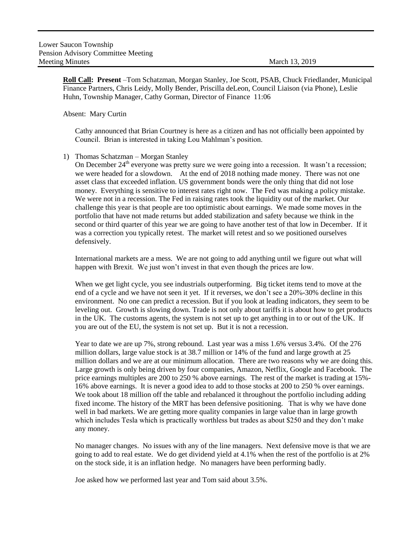**Roll Call: Present** –Tom Schatzman, Morgan Stanley, Joe Scott, PSAB, Chuck Friedlander, Municipal Finance Partners, Chris Leidy, Molly Bender, Priscilla deLeon, Council Liaison (via Phone), Leslie Huhn, Township Manager, Cathy Gorman, Director of Finance 11:06

Absent: Mary Curtin

Cathy announced that Brian Courtney is here as a citizen and has not officially been appointed by Council. Brian is interested in taking Lou Mahlman's position.

1) Thomas Schatzman – Morgan Stanley

On December  $24<sup>th</sup>$  everyone was pretty sure we were going into a recession. It wasn't a recession; we were headed for a slowdown. At the end of 2018 nothing made money. There was not one asset class that exceeded inflation. US government bonds were the only thing that did not lose money. Everything is sensitive to interest rates right now. The Fed was making a policy mistake. We were not in a recession. The Fed in raising rates took the liquidity out of the market. Our challenge this year is that people are too optimistic about earnings. We made some moves in the portfolio that have not made returns but added stabilization and safety because we think in the second or third quarter of this year we are going to have another test of that low in December. If it was a correction you typically retest. The market will retest and so we positioned ourselves defensively.

International markets are a mess. We are not going to add anything until we figure out what will happen with Brexit. We just won't invest in that even though the prices are low.

When we get light cycle, you see industrials outperforming. Big ticket items tend to move at the end of a cycle and we have not seen it yet. If it reverses, we don't see a 20%-30% decline in this environment. No one can predict a recession. But if you look at leading indicators, they seem to be leveling out. Growth is slowing down. Trade is not only about tariffs it is about how to get products in the UK. The customs agents, the system is not set up to get anything in to or out of the UK. If you are out of the EU, the system is not set up. But it is not a recession.

Year to date we are up 7%, strong rebound. Last year was a miss 1.6% versus 3.4%. Of the 276 million dollars, large value stock is at 38.7 million or 14% of the fund and large growth at 25 million dollars and we are at our minimum allocation. There are two reasons why we are doing this. Large growth is only being driven by four companies, Amazon, Netflix, Google and Facebook. The price earnings multiples are 200 to 250 % above earnings. The rest of the market is trading at 15%- 16% above earnings. It is never a good idea to add to those stocks at 200 to 250 % over earnings. We took about 18 million off the table and rebalanced it throughout the portfolio including adding fixed income. The history of the MRT has been defensive positioning. That is why we have done well in bad markets. We are getting more quality companies in large value than in large growth which includes Tesla which is practically worthless but trades as about \$250 and they don't make any money.

No manager changes. No issues with any of the line managers. Next defensive move is that we are going to add to real estate. We do get dividend yield at 4.1% when the rest of the portfolio is at 2% on the stock side, it is an inflation hedge. No managers have been performing badly.

Joe asked how we performed last year and Tom said about 3.5%.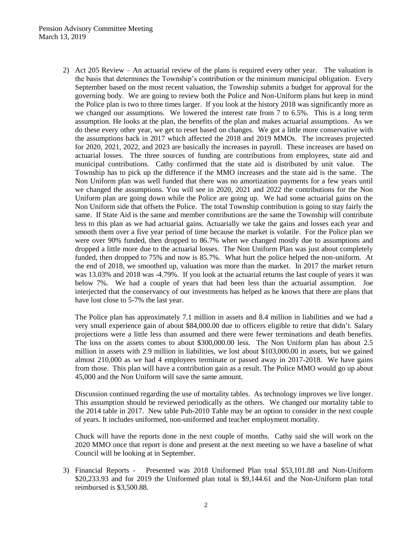## Pension Advisory Committee Meeting March 13, 2019

2) Act 205 Review – An actuarial review of the plans is required every other year. The valuation is the basis that determines the Township's contribution or the minimum municipal obligation. Every September based on the most recent valuation, the Township submits a budget for approval for the governing body. We are going to review both the Police and Non-Uniform plans but keep in mind the Police plan is two to three times larger. If you look at the history 2018 was significantly more as we changed our assumptions. We lowered the interest rate from 7 to 6.5%. This is a long term assumption. He looks at the plan, the benefits of the plan and makes actuarial assumptions. As we do these every other year, we get to reset based on changes. We got a little more conservative with the assumptions back in 2017 which affected the 2018 and 2019 MMOs. The increases projected for 2020, 2021, 2022, and 2023 are basically the increases in payroll. These increases are based on actuarial losses. The three sources of funding are contributions from employees, state aid and municipal contributions. Cathy confirmed that the state aid is distributed by unit value. The Township has to pick up the difference if the MMO increases and the state aid is the same. The Non Uniform plan was well funded that there was no amortization payments for a few years until we changed the assumptions. You will see in 2020, 2021 and 2022 the contributions for the Non Uniform plan are going down while the Police are going up. We had some actuarial gains on the Non Uniform side that offsets the Police. The total Township contribution is going to stay fairly the same. If State Aid is the same and member contributions are the same the Township will contribute less to this plan as we had actuarial gains. Actuarially we take the gains and losses each year and smooth them over a five year period of time because the market is volatile. For the Police plan we were over 90% funded, then dropped to 86.7% when we changed mostly due to assumptions and dropped a little more due to the actuarial losses. The Non Uniform Plan was just about completely funded, then dropped to 75% and now is 85.7%. What hurt the police helped the non-uniform. At the end of 2018, we smoothed up, valuation was more than the market. In 2017 the market return was 13.03% and 2018 was -4.79%. If you look at the actuarial returns the last couple of years it was below 7%. We had a couple of years that had been less than the actuarial assumption. Joe interjected that the conservancy of our investments has helped as he knows that there are plans that have lost close to 5-7% the last year.

The Police plan has approximately 7.1 million in assets and 8.4 million in liabilities and we had a very small experience gain of about \$84,000.00 due to officers eligible to retire that didn't. Salary projections were a little less than assumed and there were fewer terminations and death benefits. The loss on the assets comes to about \$300,000.00 less. The Non Uniform plan has about 2.5 million in assets with 2.9 million in liabilities, we lost about \$103,000.00 in assets, but we gained almost 210,000 as we had 4 employees terminate or passed away in 2017-2018. We have gains from those. This plan will have a contribution gain as a result. The Police MMO would go up about 45,000 and the Non Uniform will save the same amount.

Discussion continued regarding the use of mortality tables. As technology improves we live longer. This assumption should be reviewed periodically as the others. We changed our mortality table to the 2014 table in 2017. New table Pub-2010 Table may be an option to consider in the next couple of years. It includes uniformed, non-uniformed and teacher employment mortality.

Chuck will have the reports done in the next couple of months. Cathy said she will work on the 2020 MMO once that report is done and present at the next meeting so we have a baseline of what Council will be looking at in September.

3) Financial Reports - Presented was 2018 Uniformed Plan total \$53,101.88 and Non-Uniform \$20,233.93 and for 2019 the Uniformed plan total is \$9,144.61 and the Non-Uniform plan total reimbursed is \$3,500.88.